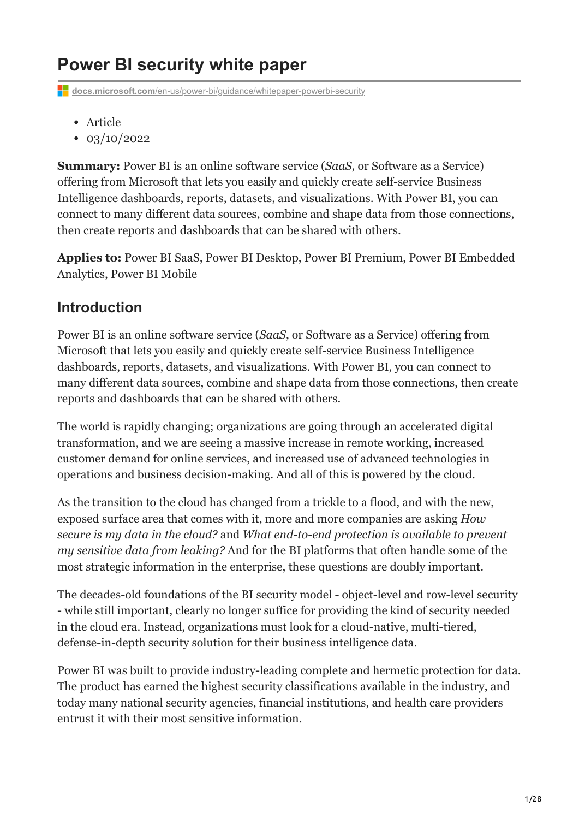# **Power BI security white paper**

**docs.microsoft.com[/en-us/power-bi/guidance/whitepaper-powerbi-security](https://docs.microsoft.com/en-us/power-bi/guidance/whitepaper-powerbi-security)** 

- Article
- $\cdot$  03/10/2022

**Summary:** Power BI is an online software service (*SaaS*, or Software as a Service) offering from Microsoft that lets you easily and quickly create self-service Business Intelligence dashboards, reports, datasets, and visualizations. With Power BI, you can connect to many different data sources, combine and shape data from those connections, then create reports and dashboards that can be shared with others.

**Applies to:** Power BI SaaS, Power BI Desktop, Power BI Premium, Power BI Embedded Analytics, Power BI Mobile

# **Introduction**

Power BI is an online software service (*SaaS*, or Software as a Service) offering from Microsoft that lets you easily and quickly create self-service Business Intelligence dashboards, reports, datasets, and visualizations. With Power BI, you can connect to many different data sources, combine and shape data from those connections, then create reports and dashboards that can be shared with others.

The world is rapidly changing; organizations are going through an accelerated digital transformation, and we are seeing a massive increase in remote working, increased customer demand for online services, and increased use of advanced technologies in operations and business decision-making. And all of this is powered by the cloud.

As the transition to the cloud has changed from a trickle to a flood, and with the new, exposed surface area that comes with it, more and more companies are asking *How secure is my data in the cloud?* and *What end-to-end protection is available to prevent my sensitive data from leaking?* And for the BI platforms that often handle some of the most strategic information in the enterprise, these questions are doubly important.

The decades-old foundations of the BI security model - object-level and row-level security - while still important, clearly no longer suffice for providing the kind of security needed in the cloud era. Instead, organizations must look for a cloud-native, multi-tiered, defense-in-depth security solution for their business intelligence data.

Power BI was built to provide industry-leading complete and hermetic protection for data. The product has earned the highest security classifications available in the industry, and today many national security agencies, financial institutions, and health care providers entrust it with their most sensitive information.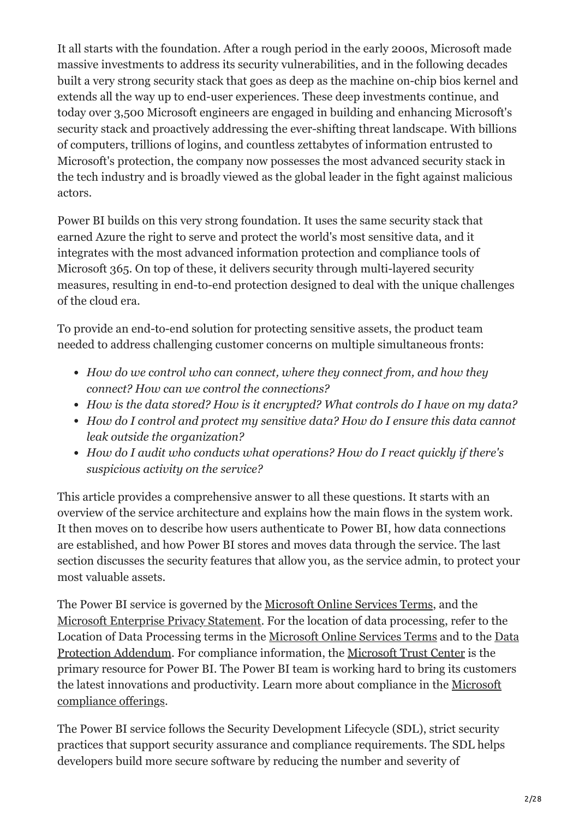It all starts with the foundation. After a rough period in the early 2000s, Microsoft made massive investments to address its security vulnerabilities, and in the following decades built a very strong security stack that goes as deep as the machine on-chip bios kernel and extends all the way up to end-user experiences. These deep investments continue, and today over 3,500 Microsoft engineers are engaged in building and enhancing Microsoft's security stack and proactively addressing the ever-shifting threat landscape. With billions of computers, trillions of logins, and countless zettabytes of information entrusted to Microsoft's protection, the company now possesses the most advanced security stack in the tech industry and is broadly viewed as the global leader in the fight against malicious actors.

Power BI builds on this very strong foundation. It uses the same security stack that earned Azure the right to serve and protect the world's most sensitive data, and it integrates with the most advanced information protection and compliance tools of Microsoft 365. On top of these, it delivers security through multi-layered security measures, resulting in end-to-end protection designed to deal with the unique challenges of the cloud era.

To provide an end-to-end solution for protecting sensitive assets, the product team needed to address challenging customer concerns on multiple simultaneous fronts:

- *How do we control who can connect, where they connect from, and how they connect? How can we control the connections?*
- *How is the data stored? How is it encrypted? What controls do I have on my data?*
- *How do I control and protect my sensitive data? How do I ensure this data cannot leak outside the organization?*
- *How do I audit who conducts what operations? How do I react quickly if there's suspicious activity on the service?*

This article provides a comprehensive answer to all these questions. It starts with an overview of the service architecture and explains how the main flows in the system work. It then moves on to describe how users authenticate to Power BI, how data connections are established, and how Power BI stores and moves data through the service. The last section discusses the security features that allow you, as the service admin, to protect your most valuable assets.

The Power BI service is governed by the [Microsoft Online Services Terms](https://www.microsoftvolumelicensing.com/DocumentSearch.aspx?Mode=3&DocumentTypeId=31), and the [Microsoft Enterprise Privacy Statement.](https://www.microsoft.com/privacystatement/OnlineServices/Default.aspx) For the location of data processing, refer to the [Location of Data Processing terms in the M](https://www.microsoft.com/download/details.aspx?id=101581)[icrosoft Online Services Term](https://www.microsoftvolumelicensing.com/Downloader.aspx?DocumentId=9555)[s and to the Data](https://www.microsoft.com/download/details.aspx?id=101581) Protection Addendum. For compliance information, the [Microsoft Trust Center](https://www.microsoft.com/trustcenter) is the primary resource for Power BI. The Power BI team is working hard to bring its customers [the latest innovations and productivity. Learn more about compliance in the Microsoft](https://docs.microsoft.com/en-us/compliance/regulatory/offering-home) compliance offerings.

The Power BI service follows the Security Development Lifecycle (SDL), strict security practices that support security assurance and compliance requirements. The SDL helps developers build more secure software by reducing the number and severity of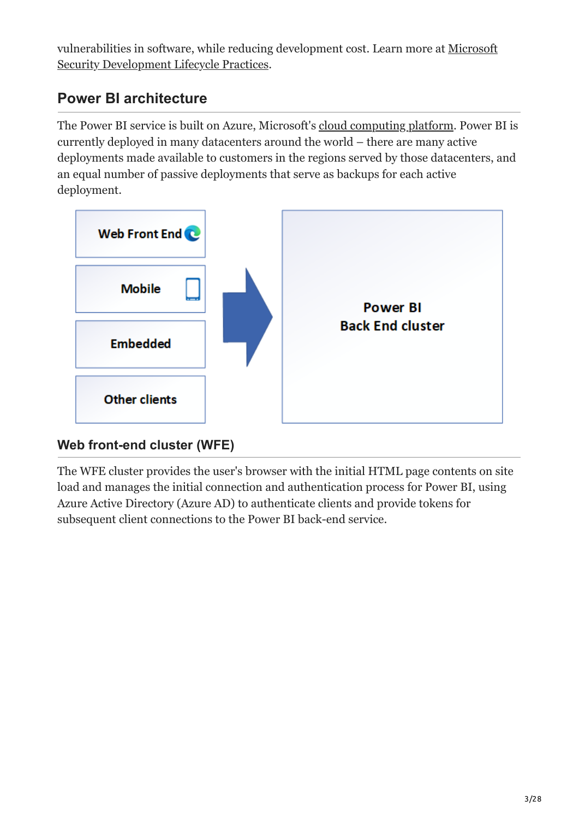[vulnerabilities in software, while reducing development cost. Learn more at Microsoft](https://www.microsoft.com/securityengineering/sdl/practices) Security Development Lifecycle Practices.

# **Power BI architecture**

The Power BI service is built on Azure, Microsoft's [cloud computing platform.](https://azure.microsoft.com/overview/what-is-azure/) Power BI is currently deployed in many datacenters around the world – there are many active deployments made available to customers in the regions served by those datacenters, and an equal number of passive deployments that serve as backups for each active deployment.



# **Web front-end cluster (WFE)**

The WFE cluster provides the user's browser with the initial HTML page contents on site load and manages the initial connection and authentication process for Power BI, using Azure Active Directory (Azure AD) to authenticate clients and provide tokens for subsequent client connections to the Power BI back-end service.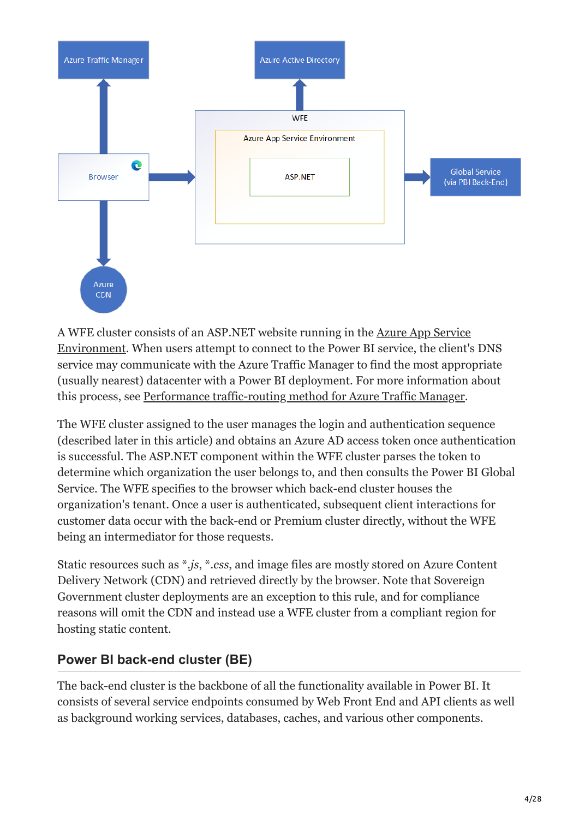

[A WFE cluster consists of an ASP.NET website running in the Azure App Service](https://docs.microsoft.com/en-us/azure/app-service/environment/intro) Environment. When users attempt to connect to the Power BI service, the client's DNS service may communicate with the Azure Traffic Manager to find the most appropriate (usually nearest) datacenter with a Power BI deployment. For more information about this process, see [Performance traffic-routing method for Azure Traffic Manager](https://docs.microsoft.com/en-us/azure/traffic-manager/traffic-manager-routing-methods#performance-traffic-routing-method).

The WFE cluster assigned to the user manages the login and authentication sequence (described later in this article) and obtains an Azure AD access token once authentication is successful. The ASP.NET component within the WFE cluster parses the token to determine which organization the user belongs to, and then consults the Power BI Global Service. The WFE specifies to the browser which back-end cluster houses the organization's tenant. Once a user is authenticated, subsequent client interactions for customer data occur with the back-end or Premium cluster directly, without the WFE being an intermediator for those requests.

Static resources such as \**.js*, \**.css*, and image files are mostly stored on Azure Content Delivery Network (CDN) and retrieved directly by the browser. Note that Sovereign Government cluster deployments are an exception to this rule, and for compliance reasons will omit the CDN and instead use a WFE cluster from a compliant region for hosting static content.

# **Power BI back-end cluster (BE)**

The back-end cluster is the backbone of all the functionality available in Power BI. It consists of several service endpoints consumed by Web Front End and API clients as well as background working services, databases, caches, and various other components.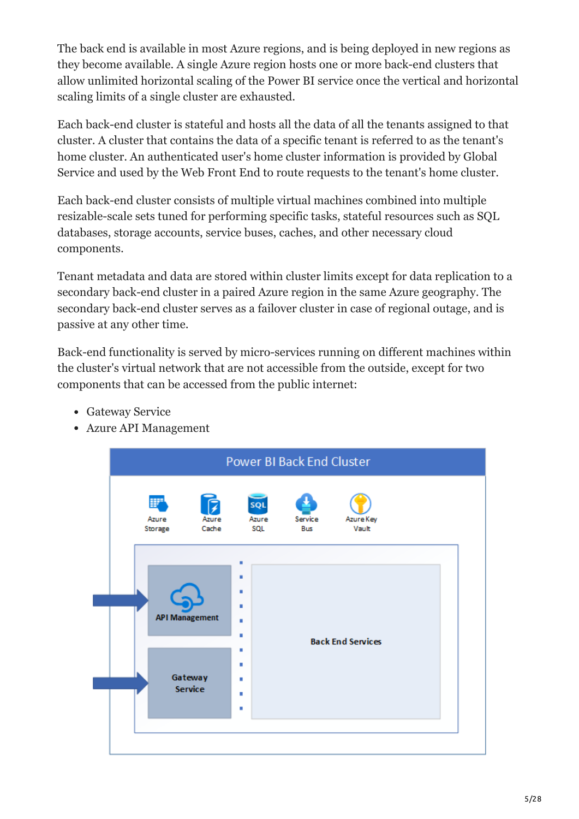The back end is available in most Azure regions, and is being deployed in new regions as they become available. A single Azure region hosts one or more back-end clusters that allow unlimited horizontal scaling of the Power BI service once the vertical and horizontal scaling limits of a single cluster are exhausted.

Each back-end cluster is stateful and hosts all the data of all the tenants assigned to that cluster. A cluster that contains the data of a specific tenant is referred to as the tenant's home cluster. An authenticated user's home cluster information is provided by Global Service and used by the Web Front End to route requests to the tenant's home cluster.

Each back-end cluster consists of multiple virtual machines combined into multiple resizable-scale sets tuned for performing specific tasks, stateful resources such as SQL databases, storage accounts, service buses, caches, and other necessary cloud components.

Tenant metadata and data are stored within cluster limits except for data replication to a secondary back-end cluster in a paired Azure region in the same Azure geography. The secondary back-end cluster serves as a failover cluster in case of regional outage, and is passive at any other time.

Back-end functionality is served by micro-services running on different machines within the cluster's virtual network that are not accessible from the outside, except for two components that can be accessed from the public internet:

- Gateway Service
- Azure API Management

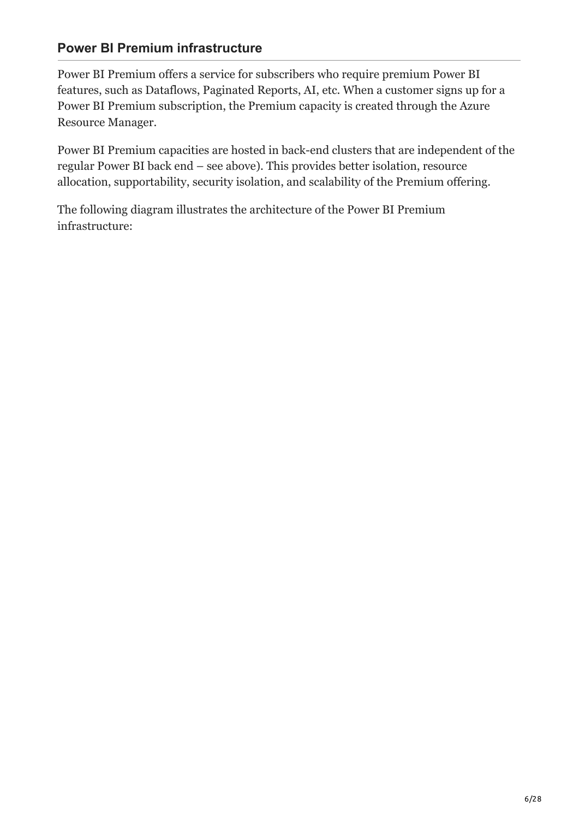#### **Power BI Premium infrastructure**

Power BI Premium offers a service for subscribers who require premium Power BI features, such as Dataflows, Paginated Reports, AI, etc. When a customer signs up for a Power BI Premium subscription, the Premium capacity is created through the Azure Resource Manager.

Power BI Premium capacities are hosted in back-end clusters that are independent of the regular Power BI back end – see above). This provides better isolation, resource allocation, supportability, security isolation, and scalability of the Premium offering.

The following diagram illustrates the architecture of the Power BI Premium infrastructure: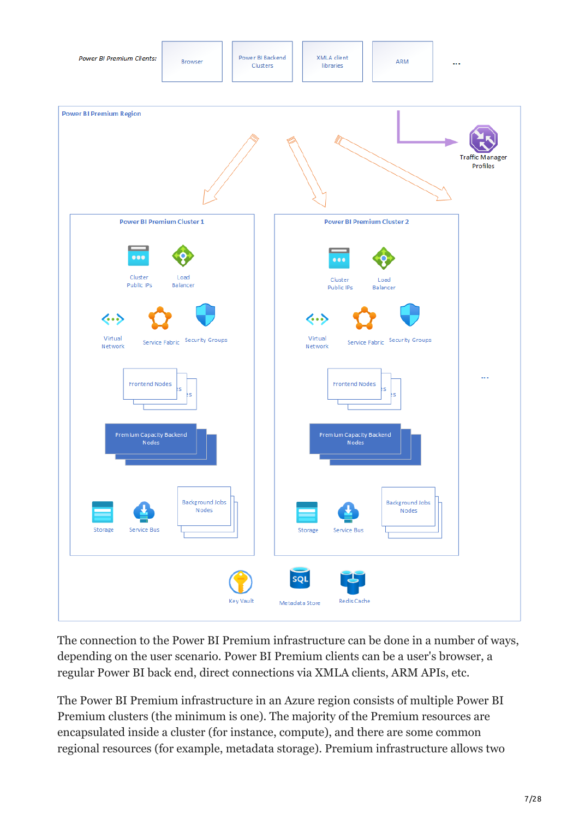

The connection to the Power BI Premium infrastructure can be done in a number of ways, depending on the user scenario. Power BI Premium clients can be a user's browser, a regular Power BI back end, direct connections via XMLA clients, ARM APIs, etc.

The Power BI Premium infrastructure in an Azure region consists of multiple Power BI Premium clusters (the minimum is one). The majority of the Premium resources are encapsulated inside a cluster (for instance, compute), and there are some common regional resources (for example, metadata storage). Premium infrastructure allows two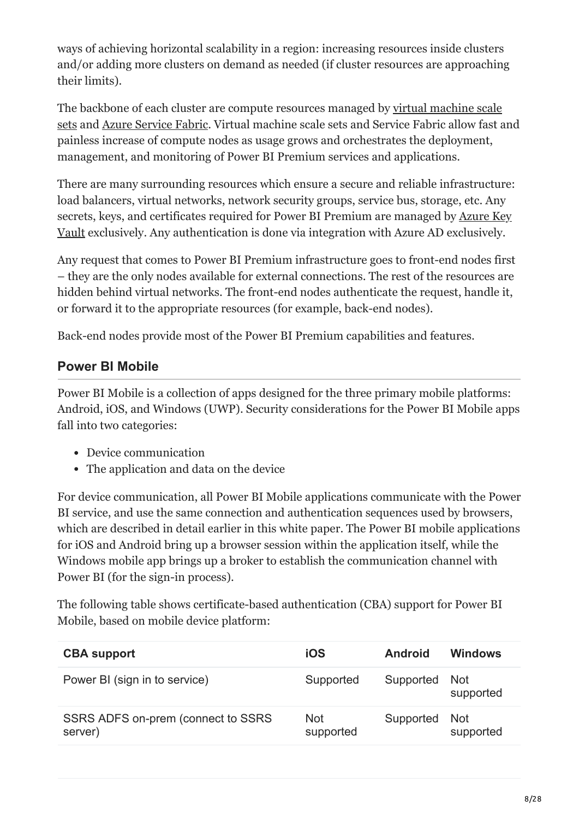ways of achieving horizontal scalability in a region: increasing resources inside clusters and/or adding more clusters on demand as needed (if cluster resources are approaching their limits).

[The backbone of each cluster are compute resources managed by virtual machine scale](https://docs.microsoft.com/en-us/azure/virtual-machine-scale-sets/overview) sets and [Azure Service Fabric.](https://docs.microsoft.com/en-us/azure/service-fabric/service-fabric-overview) Virtual machine scale sets and Service Fabric allow fast and painless increase of compute nodes as usage grows and orchestrates the deployment, management, and monitoring of Power BI Premium services and applications.

There are many surrounding resources which ensure a secure and reliable infrastructure: load balancers, virtual networks, network security groups, service bus, storage, etc. Any [secrets, keys, and certificates required for Power BI Premium are managed by Azure Key](https://docs.microsoft.com/en-us/azure/key-vault/general/basic-concepts) Vault exclusively. Any authentication is done via integration with Azure AD exclusively.

Any request that comes to Power BI Premium infrastructure goes to front-end nodes first – they are the only nodes available for external connections. The rest of the resources are hidden behind virtual networks. The front-end nodes authenticate the request, handle it, or forward it to the appropriate resources (for example, back-end nodes).

Back-end nodes provide most of the Power BI Premium capabilities and features.

### **Power BI Mobile**

Power BI Mobile is a collection of apps designed for the three primary mobile platforms: Android, iOS, and Windows (UWP). Security considerations for the Power BI Mobile apps fall into two categories:

- Device communication
- The application and data on the device

For device communication, all Power BI Mobile applications communicate with the Power BI service, and use the same connection and authentication sequences used by browsers, which are described in detail earlier in this white paper. The Power BI mobile applications for iOS and Android bring up a browser session within the application itself, while the Windows mobile app brings up a broker to establish the communication channel with Power BI (for the sign-in process).

The following table shows certificate-based authentication (CBA) support for Power BI Mobile, based on mobile device platform:

| <b>CBA support</b>                            | <b>iOS</b>              | <b>Android</b> | Windows          |
|-----------------------------------------------|-------------------------|----------------|------------------|
| Power BI (sign in to service)                 | Supported               | Supported      | Not<br>supported |
| SSRS ADFS on-prem (connect to SSRS<br>server) | <b>Not</b><br>supported | Supported      | Not<br>supported |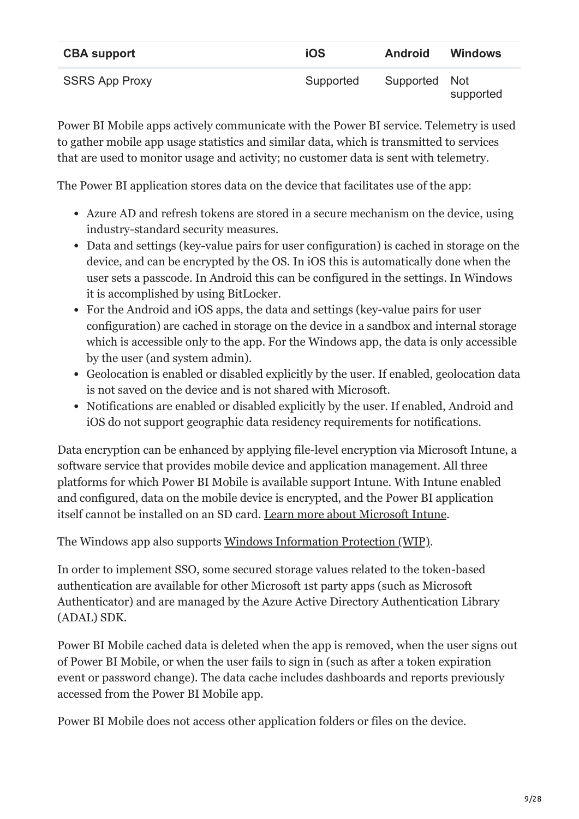| <b>CBA support</b>    | <b>iOS</b> | <b>Android</b> | <b>Windows</b> |
|-----------------------|------------|----------------|----------------|
| <b>SSRS App Proxy</b> | Supported  | Supported Not  | supported      |

Power BI Mobile apps actively communicate with the Power BI service. Telemetry is used to gather mobile app usage statistics and similar data, which is transmitted to services that are used to monitor usage and activity; no customer data is sent with telemetry.

The Power BI application stores data on the device that facilitates use of the app:

- Azure AD and refresh tokens are stored in a secure mechanism on the device, using industry-standard security measures.
- Data and settings (key-value pairs for user configuration) is cached in storage on the device, and can be encrypted by the OS. In iOS this is automatically done when the user sets a passcode. In Android this can be configured in the settings. In Windows it is accomplished by using BitLocker.
- For the Android and iOS apps, the data and settings (key-value pairs for user configuration) are cached in storage on the device in a sandbox and internal storage which is accessible only to the app. For the Windows app, the data is only accessible by the user (and system admin).
- Geolocation is enabled or disabled explicitly by the user. If enabled, geolocation data is not saved on the device and is not shared with Microsoft.
- Notifications are enabled or disabled explicitly by the user. If enabled, Android and iOS do not support geographic data residency requirements for notifications.

Data encryption can be enhanced by applying file-level encryption via Microsoft Intune, a software service that provides mobile device and application management. All three platforms for which Power BI Mobile is available support Intune. With Intune enabled and configured, data on the mobile device is encrypted, and the Power BI application itself cannot be installed on an SD card. [Learn more about Microsoft Intune](https://www.microsoft.com/cloud-platform/microsoft-intune).

The Windows app also supports [Windows Information Protection \(WIP\)](https://docs.microsoft.com/en-us/windows/security/information-protection/windows-information-protection/protect-enterprise-data-using-wip).

In order to implement SSO, some secured storage values related to the token-based authentication are available for other Microsoft 1st party apps (such as Microsoft Authenticator) and are managed by the Azure Active Directory Authentication Library (ADAL) SDK.

Power BI Mobile cached data is deleted when the app is removed, when the user signs out of Power BI Mobile, or when the user fails to sign in (such as after a token expiration event or password change). The data cache includes dashboards and reports previously accessed from the Power BI Mobile app.

Power BI Mobile does not access other application folders or files on the device.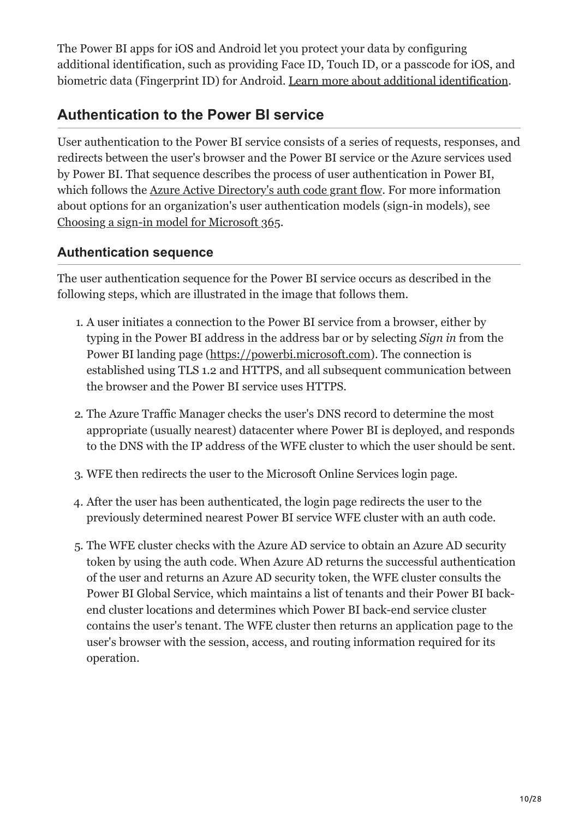The Power BI apps for iOS and Android let you protect your data by configuring additional identification, such as providing Face ID, Touch ID, or a passcode for iOS, and biometric data (Fingerprint ID) for Android. [Learn more about additional identification.](https://docs.microsoft.com/en-us/power-bi/consumer/mobile/mobile-native-secure-access)

# <span id="page-9-0"></span>**Authentication to the Power BI service**

User authentication to the Power BI service consists of a series of requests, responses, and redirects between the user's browser and the Power BI service or the Azure services used by Power BI. That sequence describes the process of user authentication in Power BI, which follows the [Azure Active Directory's auth code grant flow](https://docs.microsoft.com/en-us/azure/active-directory/develop/v2-oauth2-auth-code-flow). For more information about options for an organization's user authentication models (sign-in models), see [Choosing a sign-in model for Microsoft 365](https://www.microsoft.com/en-us/microsoft-365/blog/2014/05/13/choosing-a-sign-in-model-for-office-365/).

#### **Authentication sequence**

The user authentication sequence for the Power BI service occurs as described in the following steps, which are illustrated in the image that follows them.

- 1. A user initiates a connection to the Power BI service from a browser, either by typing in the Power BI address in the address bar or by selecting *Sign in* from the Power BI landing page ([https://powerbi.microsoft.com](https://powerbi.microsoft.com/)). The connection is established using TLS 1.2 and HTTPS, and all subsequent communication between the browser and the Power BI service uses HTTPS.
- 2. The Azure Traffic Manager checks the user's DNS record to determine the most appropriate (usually nearest) datacenter where Power BI is deployed, and responds to the DNS with the IP address of the WFE cluster to which the user should be sent.
- 3. WFE then redirects the user to the Microsoft Online Services login page.
- 4. After the user has been authenticated, the login page redirects the user to the previously determined nearest Power BI service WFE cluster with an auth code.
- 5. The WFE cluster checks with the Azure AD service to obtain an Azure AD security token by using the auth code. When Azure AD returns the successful authentication of the user and returns an Azure AD security token, the WFE cluster consults the Power BI Global Service, which maintains a list of tenants and their Power BI backend cluster locations and determines which Power BI back-end service cluster contains the user's tenant. The WFE cluster then returns an application page to the user's browser with the session, access, and routing information required for its operation.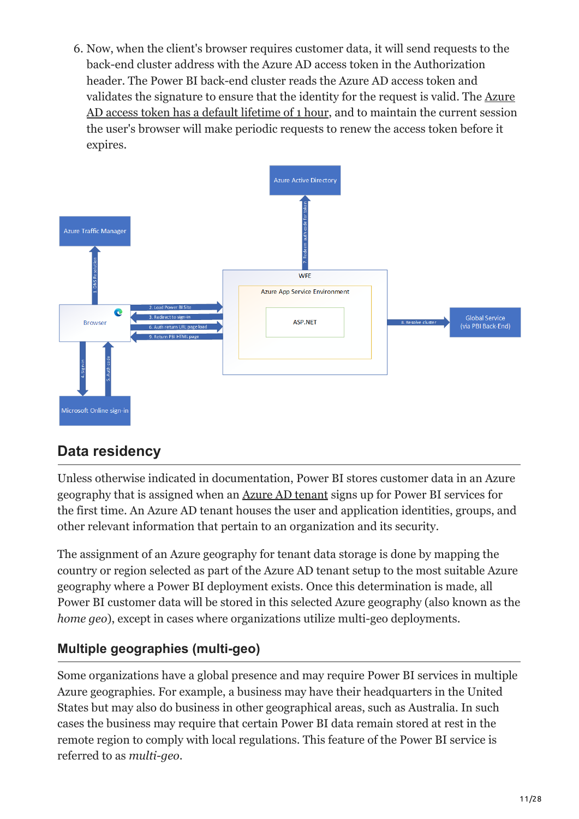6. Now, when the client's browser requires customer data, it will send requests to the back-end cluster address with the Azure AD access token in the Authorization header. The Power BI back-end cluster reads the Azure AD access token and validates the signature to ensure that the identity for the request is valid. The Azure [AD access token has a default lifetime of 1 hour, and to maintain the current session](https://docs.microsoft.com/en-us/azure/active-directory/develop/active-directory-configurable-token-lifetimes#configurable-token-lifetime-properties-after-the-retirement) the user's browser will make periodic requests to renew the access token before it expires.



# **Data residency**

Unless otherwise indicated in documentation, Power BI stores customer data in an Azure geography that is assigned when an [Azure AD tenant](https://docs.microsoft.com/en-us/office365/enterprise/subscriptions-licenses-accounts-and-tenants-for-microsoft-cloud-offerings) signs up for Power BI services for the first time. An Azure AD tenant houses the user and application identities, groups, and other relevant information that pertain to an organization and its security.

The assignment of an Azure geography for tenant data storage is done by mapping the country or region selected as part of the Azure AD tenant setup to the most suitable Azure geography where a Power BI deployment exists. Once this determination is made, all Power BI customer data will be stored in this selected Azure geography (also known as the *home geo*), except in cases where organizations utilize multi-geo deployments.

## **Multiple geographies (multi-geo)**

Some organizations have a global presence and may require Power BI services in multiple Azure geographies. For example, a business may have their headquarters in the United States but may also do business in other geographical areas, such as Australia. In such cases the business may require that certain Power BI data remain stored at rest in the remote region to comply with local regulations. This feature of the Power BI service is referred to as *multi-geo*.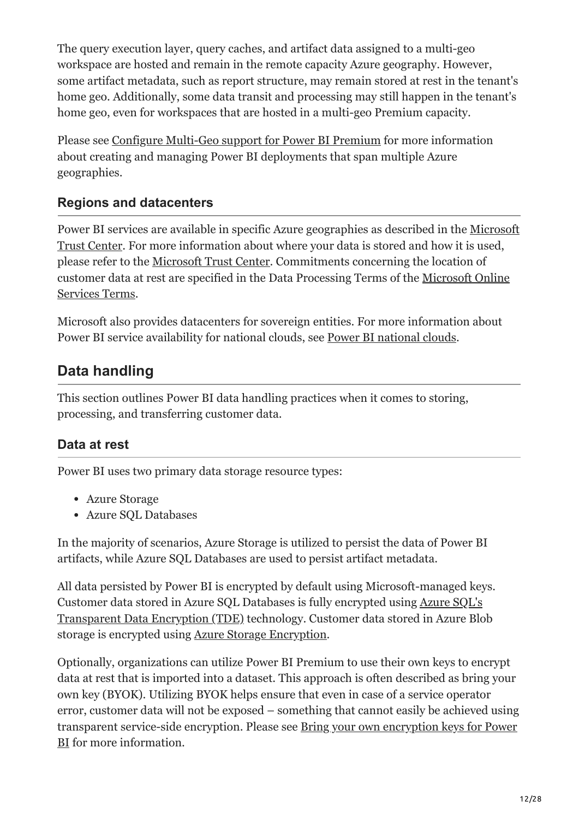The query execution layer, query caches, and artifact data assigned to a multi-geo workspace are hosted and remain in the remote capacity Azure geography. However, some artifact metadata, such as report structure, may remain stored at rest in the tenant's home geo. Additionally, some data transit and processing may still happen in the tenant's home geo, even for workspaces that are hosted in a multi-geo Premium capacity.

Please see [Configure Multi-Geo support for Power BI Premium](https://docs.microsoft.com/en-us/power-bi/admin/service-admin-premium-multi-geo) for more information about creating and managing Power BI deployments that span multiple Azure geographies.

### **Regions and datacenters**

[Power BI services are available in specific Azure geographies as described in the Microsoft](https://www.microsoft.com/TrustCenter/CloudServices/business-application-platform/data-location) Trust Center. For more information about where your data is stored and how it is used, please refer to the [Microsoft Trust Center.](https://www.microsoft.com/TrustCenter/Transparency/default.aspx#_You_know_where) Commitments concerning the location of [customer data at rest are specified in the Data Processing Terms of the Microsoft Online](https://www.microsoftvolumelicensing.com/DocumentSearch.aspx?Mode=3&DocumentTypeId=31) Services Terms.

Microsoft also provides datacenters for sovereign entities. For more information about Power BI service availability for national clouds, see [Power BI national clouds](https://powerbi.microsoft.com/clouds/).

# **Data handling**

This section outlines Power BI data handling practices when it comes to storing, processing, and transferring customer data.

#### <span id="page-11-0"></span>**Data at rest**

Power BI uses two primary data storage resource types:

- Azure Storage
- Azure SQL Databases

In the majority of scenarios, Azure Storage is utilized to persist the data of Power BI artifacts, while Azure SQL Databases are used to persist artifact metadata.

All data persisted by Power BI is encrypted by default using Microsoft-managed keys. Customer data stored in Azure SQL Databases is fully encrypted using Azure SQL's [Transparent Data Encryption \(TDE\) technology. Customer data stored in Azure Blo](https://docs.microsoft.com/en-us/azure/sql-database/transparent-data-encryption-azure-sql)b storage is encrypted using [Azure Storage Encryption](https://docs.microsoft.com/en-us/azure/storage/common/storage-service-encryption).

Optionally, organizations can utilize Power BI Premium to use their own keys to encrypt data at rest that is imported into a dataset. This approach is often described as bring your own key (BYOK). Utilizing BYOK helps ensure that even in case of a service operator error, customer data will not be exposed – something that cannot easily be achieved using [transparent service-side encryption. Please see Bring your own encryption keys for Power](https://docs.microsoft.com/en-us/power-bi/enterprise/service-encryption-byok) BI for more information.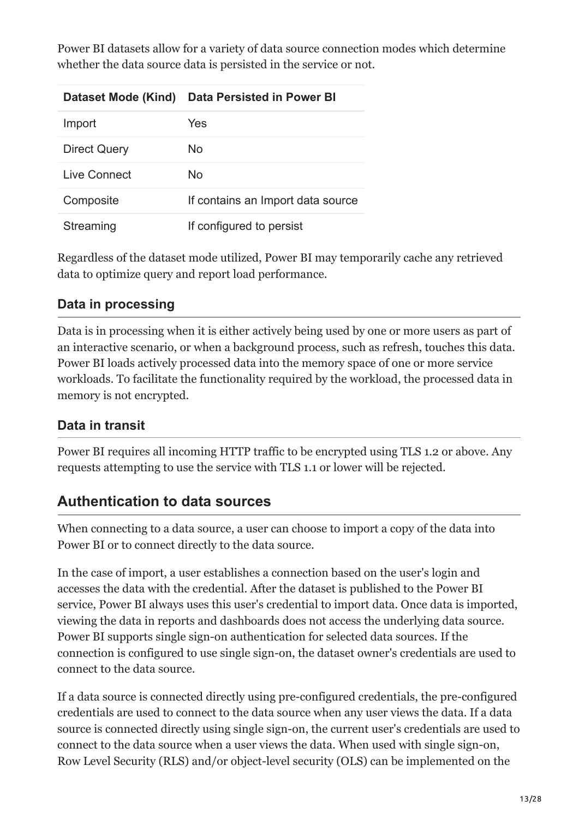Power BI datasets allow for a variety of data source connection modes which determine whether the data source data is persisted in the service or not.

| Dataset Mode (Kind) | Data Persisted in Power BI        |
|---------------------|-----------------------------------|
| Import              | Yes                               |
| <b>Direct Query</b> | No.                               |
| Live Connect        | No.                               |
| Composite           | If contains an Import data source |
| Streaming           | If configured to persist          |

Regardless of the dataset mode utilized, Power BI may temporarily cache any retrieved data to optimize query and report load performance.

## <span id="page-12-0"></span>**Data in processing**

Data is in processing when it is either actively being used by one or more users as part of an interactive scenario, or when a background process, such as refresh, touches this data. Power BI loads actively processed data into the memory space of one or more service workloads. To facilitate the functionality required by the workload, the processed data in memory is not encrypted.

## **Data in transit**

Power BI requires all incoming HTTP traffic to be encrypted using TLS 1.2 or above. Any requests attempting to use the service with TLS 1.1 or lower will be rejected.

# <span id="page-12-1"></span>**Authentication to data sources**

When connecting to a data source, a user can choose to import a copy of the data into Power BI or to connect directly to the data source.

In the case of import, a user establishes a connection based on the user's login and accesses the data with the credential. After the dataset is published to the Power BI service, Power BI always uses this user's credential to import data. Once data is imported, viewing the data in reports and dashboards does not access the underlying data source. Power BI supports single sign-on authentication for selected data sources. If the connection is configured to use single sign-on, the dataset owner's credentials are used to connect to the data source.

If a data source is connected directly using pre-configured credentials, the pre-configured credentials are used to connect to the data source when any user views the data. If a data source is connected directly using single sign-on, the current user's credentials are used to connect to the data source when a user views the data. When used with single sign-on, Row Level Security (RLS) and/or object-level security (OLS) can be implemented on the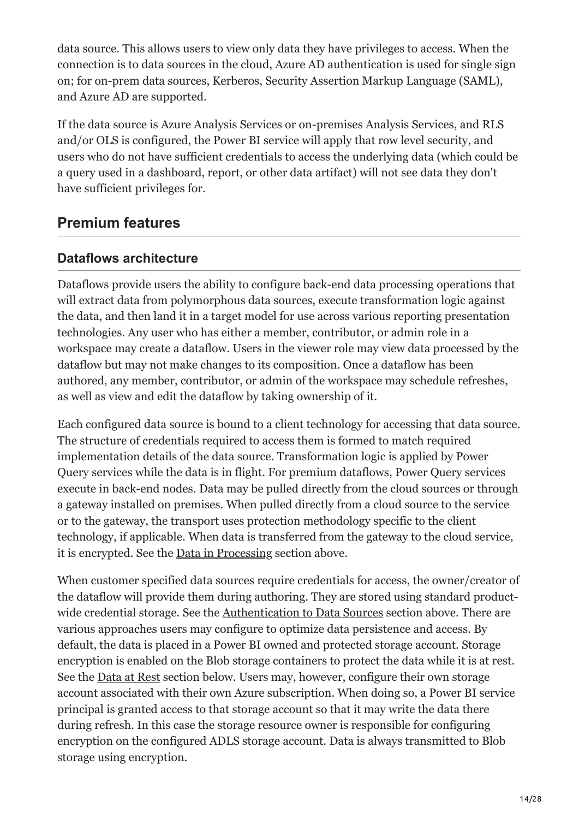data source. This allows users to view only data they have privileges to access. When the connection is to data sources in the cloud, Azure AD authentication is used for single sign on; for on-prem data sources, Kerberos, Security Assertion Markup Language (SAML), and Azure AD are supported.

If the data source is Azure Analysis Services or on-premises Analysis Services, and RLS and/or OLS is configured, the Power BI service will apply that row level security, and users who do not have sufficient credentials to access the underlying data (which could be a query used in a dashboard, report, or other data artifact) will not see data they don't have sufficient privileges for.

# **Premium features**

### **Dataflows architecture**

Dataflows provide users the ability to configure back-end data processing operations that will extract data from polymorphous data sources, execute transformation logic against the data, and then land it in a target model for use across various reporting presentation technologies. Any user who has either a member, contributor, or admin role in a workspace may create a dataflow. Users in the viewer role may view data processed by the dataflow but may not make changes to its composition. Once a dataflow has been authored, any member, contributor, or admin of the workspace may schedule refreshes, as well as view and edit the dataflow by taking ownership of it.

Each configured data source is bound to a client technology for accessing that data source. The structure of credentials required to access them is formed to match required implementation details of the data source. Transformation logic is applied by Power Query services while the data is in flight. For premium dataflows, Power Query services execute in back-end nodes. Data may be pulled directly from the cloud sources or through a gateway installed on premises. When pulled directly from a cloud source to the service or to the gateway, the transport uses protection methodology specific to the client technology, if applicable. When data is transferred from the gateway to the cloud service, it is encrypted. See the [Data in Processing](#page-12-0) section above.

When customer specified data sources require credentials for access, the owner/creator of the dataflow will provide them during authoring. They are stored using standard productwide credential storage. See the [Authentication to Data Sources](#page-12-1) section above. There are various approaches users may configure to optimize data persistence and access. By default, the data is placed in a Power BI owned and protected storage account. Storage encryption is enabled on the Blob storage containers to protect the data while it is at rest. See the [Data at Rest](#page-11-0) section below. Users may, however, configure their own storage account associated with their own Azure subscription. When doing so, a Power BI service principal is granted access to that storage account so that it may write the data there during refresh. In this case the storage resource owner is responsible for configuring encryption on the configured ADLS storage account. Data is always transmitted to Blob storage using encryption.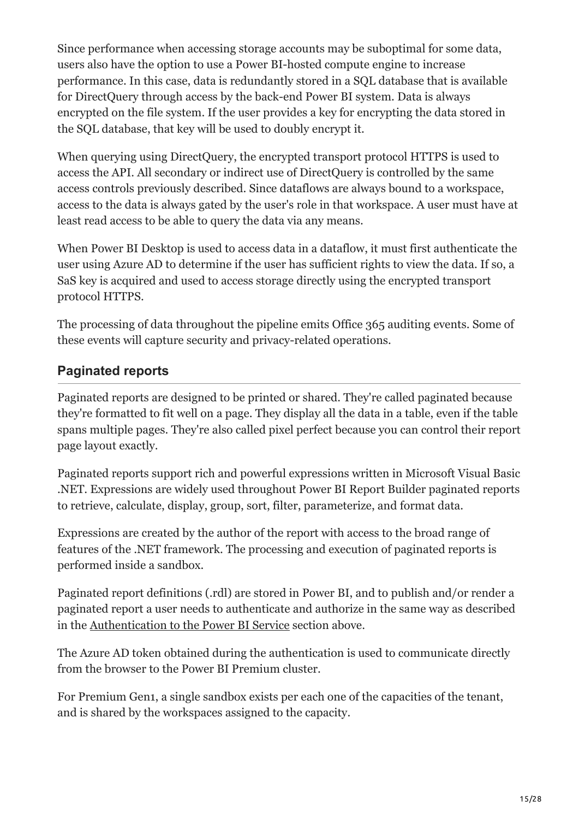Since performance when accessing storage accounts may be suboptimal for some data, users also have the option to use a Power BI-hosted compute engine to increase performance. In this case, data is redundantly stored in a SQL database that is available for DirectQuery through access by the back-end Power BI system. Data is always encrypted on the file system. If the user provides a key for encrypting the data stored in the SQL database, that key will be used to doubly encrypt it.

When querying using DirectQuery, the encrypted transport protocol HTTPS is used to access the API. All secondary or indirect use of DirectQuery is controlled by the same access controls previously described. Since dataflows are always bound to a workspace, access to the data is always gated by the user's role in that workspace. A user must have at least read access to be able to query the data via any means.

When Power BI Desktop is used to access data in a dataflow, it must first authenticate the user using Azure AD to determine if the user has sufficient rights to view the data. If so, a SaS key is acquired and used to access storage directly using the encrypted transport protocol HTTPS.

The processing of data throughout the pipeline emits Office 365 auditing events. Some of these events will capture security and privacy-related operations.

## **Paginated reports**

Paginated reports are designed to be printed or shared. They're called paginated because they're formatted to fit well on a page. They display all the data in a table, even if the table spans multiple pages. They're also called pixel perfect because you can control their report page layout exactly.

Paginated reports support rich and powerful expressions written in Microsoft Visual Basic .NET. Expressions are widely used throughout Power BI Report Builder paginated reports to retrieve, calculate, display, group, sort, filter, parameterize, and format data.

Expressions are created by the author of the report with access to the broad range of features of the .NET framework. The processing and execution of paginated reports is performed inside a sandbox.

Paginated report definitions (.rdl) are stored in Power BI, and to publish and/or render a paginated report a user needs to authenticate and authorize in the same way as described in the [Authentication to the Power BI Service](#page-9-0) section above.

The Azure AD token obtained during the authentication is used to communicate directly from the browser to the Power BI Premium cluster.

For Premium Gen1, a single sandbox exists per each one of the capacities of the tenant, and is shared by the workspaces assigned to the capacity.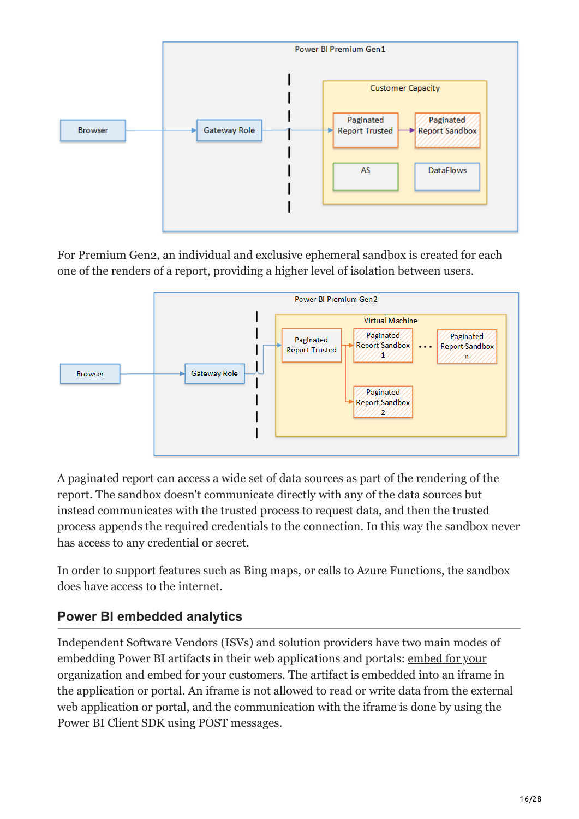

For Premium Gen2, an individual and exclusive ephemeral sandbox is created for each one of the renders of a report, providing a higher level of isolation between users.



A paginated report can access a wide set of data sources as part of the rendering of the report. The sandbox doesn't communicate directly with any of the data sources but instead communicates with the trusted process to request data, and then the trusted process appends the required credentials to the connection. In this way the sandbox never has access to any credential or secret.

In order to support features such as Bing maps, or calls to Azure Functions, the sandbox does have access to the internet.

## **Power BI embedded analytics**

Independent Software Vendors (ISVs) and solution providers have two main modes of [embedding Power BI artifacts in their web applications and portals: embed for your](https://docs.microsoft.com/en-us/power-bi/developer/embedded/embed-sample-for-your-organization) organization and [embed for your customers](https://docs.microsoft.com/en-us/power-bi/developer/embedded/embed-sample-for-customers). The artifact is embedded into an iframe in the application or portal. An iframe is not allowed to read or write data from the external web application or portal, and the communication with the iframe is done by using the Power BI Client SDK using POST messages.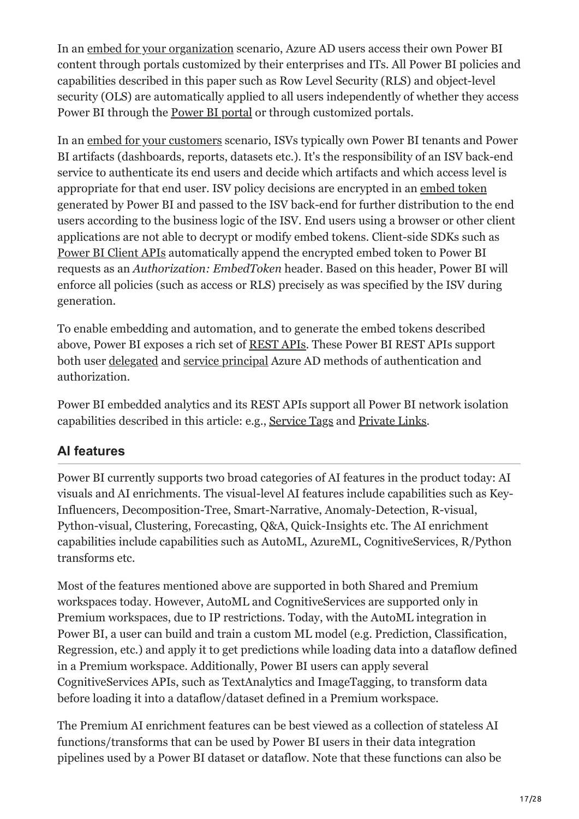In an [embed for your organization](https://docs.microsoft.com/en-us/power-bi/developer/embedded/embed-sample-for-your-organization) scenario, Azure AD users access their own Power BI content through portals customized by their enterprises and ITs. All Power BI policies and capabilities described in this paper such as Row Level Security (RLS) and object-level security (OLS) are automatically applied to all users independently of whether they access Power BI through the [Power BI portal](https://app.powerbi.com/) or through customized portals.

In an [embed for your customers](https://docs.microsoft.com/en-us/power-bi/developer/embedded/embed-sample-for-customers) scenario, ISVs typically own Power BI tenants and Power BI artifacts (dashboards, reports, datasets etc.). It's the responsibility of an ISV back-end service to authenticate its end users and decide which artifacts and which access level is appropriate for that end user. ISV policy decisions are encrypted in an [embed token](https://docs.microsoft.com/en-us/rest/api/power-bi/embedtoken) generated by Power BI and passed to the ISV back-end for further distribution to the end users according to the business logic of the ISV. End users using a browser or other client applications are not able to decrypt or modify embed tokens. Client-side SDKs such as [Power BI Client APIs](https://docs.microsoft.com/en-us/javascript/api/overview/powerbi/) automatically append the encrypted embed token to Power BI requests as an *Authorization: EmbedToken* header. Based on this header, Power BI will enforce all policies (such as access or RLS) precisely as was specified by the ISV during generation.

To enable embedding and automation, and to generate the embed tokens described above, Power BI exposes a rich set of [REST APIs](https://docs.microsoft.com/en-us/rest/api/power-bi/embedtoken). These Power BI REST APIs support both user [delegated](https://docs.microsoft.com/en-us/azure/active-directory/develop/v2-permissions-and-consent) and [service principal](https://docs.microsoft.com/en-us/power-bi/enterprise/service-premium-service-principal) Azure AD methods of authentication and authorization.

Power BI embedded analytics and its REST APIs support all Power BI network isolation capabilities described in this article: e.g., [Service Tags](#page-17-0) and [Private Links.](#page-17-1)

## **AI features**

Power BI currently supports two broad categories of AI features in the product today: AI visuals and AI enrichments. The visual-level AI features include capabilities such as Key-Influencers, Decomposition-Tree, Smart-Narrative, Anomaly-Detection, R-visual, Python-visual, Clustering, Forecasting, Q&A, Quick-Insights etc. The AI enrichment capabilities include capabilities such as AutoML, AzureML, CognitiveServices, R/Python transforms etc.

Most of the features mentioned above are supported in both Shared and Premium workspaces today. However, AutoML and CognitiveServices are supported only in Premium workspaces, due to IP restrictions. Today, with the AutoML integration in Power BI, a user can build and train a custom ML model (e.g. Prediction, Classification, Regression, etc.) and apply it to get predictions while loading data into a dataflow defined in a Premium workspace. Additionally, Power BI users can apply several CognitiveServices APIs, such as TextAnalytics and ImageTagging, to transform data before loading it into a dataflow/dataset defined in a Premium workspace.

The Premium AI enrichment features can be best viewed as a collection of stateless AI functions/transforms that can be used by Power BI users in their data integration pipelines used by a Power BI dataset or dataflow. Note that these functions can also be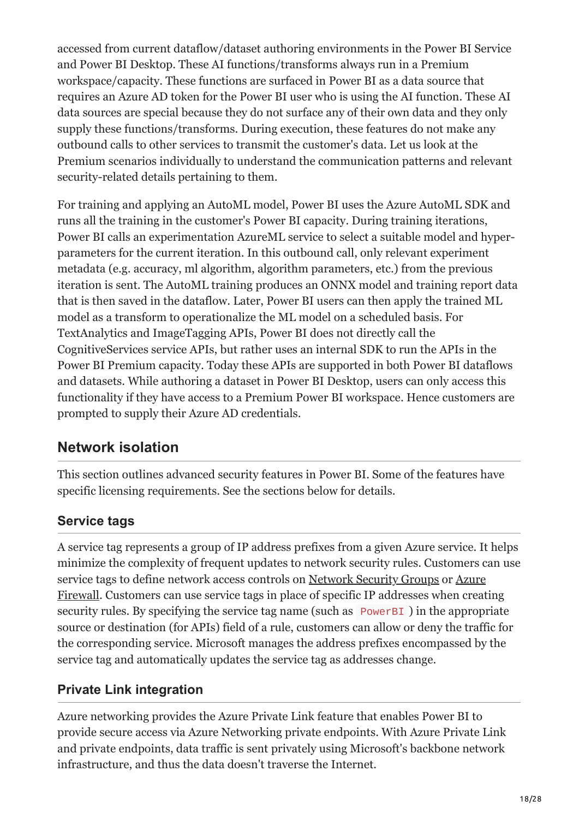accessed from current dataflow/dataset authoring environments in the Power BI Service and Power BI Desktop. These AI functions/transforms always run in a Premium workspace/capacity. These functions are surfaced in Power BI as a data source that requires an Azure AD token for the Power BI user who is using the AI function. These AI data sources are special because they do not surface any of their own data and they only supply these functions/transforms. During execution, these features do not make any outbound calls to other services to transmit the customer's data. Let us look at the Premium scenarios individually to understand the communication patterns and relevant security-related details pertaining to them.

For training and applying an AutoML model, Power BI uses the Azure AutoML SDK and runs all the training in the customer's Power BI capacity. During training iterations, Power BI calls an experimentation AzureML service to select a suitable model and hyperparameters for the current iteration. In this outbound call, only relevant experiment metadata (e.g. accuracy, ml algorithm, algorithm parameters, etc.) from the previous iteration is sent. The AutoML training produces an ONNX model and training report data that is then saved in the dataflow. Later, Power BI users can then apply the trained ML model as a transform to operationalize the ML model on a scheduled basis. For TextAnalytics and ImageTagging APIs, Power BI does not directly call the CognitiveServices service APIs, but rather uses an internal SDK to run the APIs in the Power BI Premium capacity. Today these APIs are supported in both Power BI dataflows and datasets. While authoring a dataset in Power BI Desktop, users can only access this functionality if they have access to a Premium Power BI workspace. Hence customers are prompted to supply their Azure AD credentials.

# **Network isolation**

This section outlines advanced security features in Power BI. Some of the features have specific licensing requirements. See the sections below for details.

## <span id="page-17-0"></span>**Service tags**

A service tag represents a group of IP address prefixes from a given Azure service. It helps minimize the complexity of frequent updates to network security rules. Customers can use service tags to define network access controls on [Network Security Groups](https://docs.microsoft.com/en-us/azure/virtual-network/security-overview#security-rules) or Azure [Firewall. Customers can use service tags in place of specific IP addresses when creat](https://docs.microsoft.com/en-us/azure/firewall/service-tags)ing security rules. By specifying the service tag name (such as PowerBI) in the appropriate source or destination (for APIs) field of a rule, customers can allow or deny the traffic for the corresponding service. Microsoft manages the address prefixes encompassed by the service tag and automatically updates the service tag as addresses change.

## <span id="page-17-1"></span>**Private Link integration**

Azure networking provides the Azure Private Link feature that enables Power BI to provide secure access via Azure Networking private endpoints. With Azure Private Link and private endpoints, data traffic is sent privately using Microsoft's backbone network infrastructure, and thus the data doesn't traverse the Internet.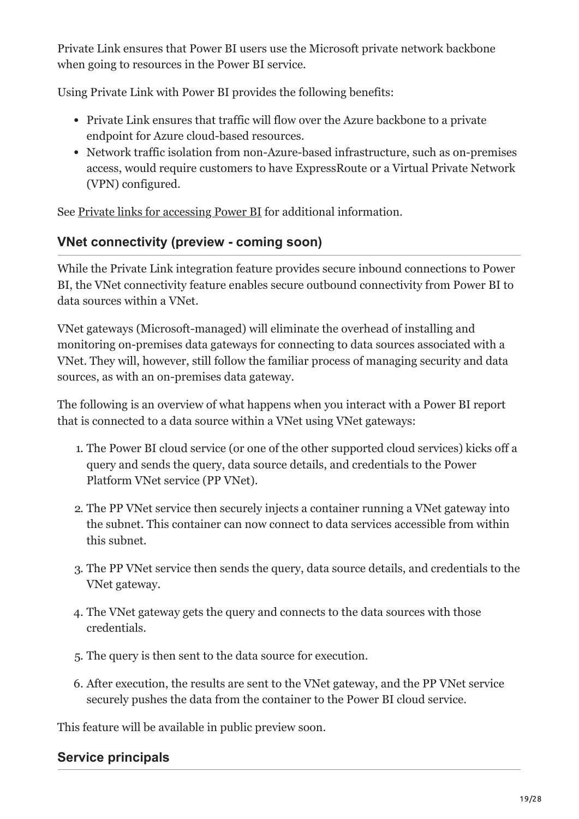Private Link ensures that Power BI users use the Microsoft private network backbone when going to resources in the Power BI service.

Using Private Link with Power BI provides the following benefits:

- Private Link ensures that traffic will flow over the Azure backbone to a private endpoint for Azure cloud-based resources.
- Network traffic isolation from non-Azure-based infrastructure, such as on-premises access, would require customers to have ExpressRoute or a Virtual Private Network (VPN) configured.

See [Private links for accessing Power BI](https://docs.microsoft.com/en-us/power-bi/enterprise/service-security-private-links) for additional information.

## **VNet connectivity (preview - coming soon)**

While the Private Link integration feature provides secure inbound connections to Power BI, the VNet connectivity feature enables secure outbound connectivity from Power BI to data sources within a VNet.

VNet gateways (Microsoft-managed) will eliminate the overhead of installing and monitoring on-premises data gateways for connecting to data sources associated with a VNet. They will, however, still follow the familiar process of managing security and data sources, as with an on-premises data gateway.

The following is an overview of what happens when you interact with a Power BI report that is connected to a data source within a VNet using VNet gateways:

- 1. The Power BI cloud service (or one of the other supported cloud services) kicks off a query and sends the query, data source details, and credentials to the Power Platform VNet service (PP VNet).
- 2. The PP VNet service then securely injects a container running a VNet gateway into the subnet. This container can now connect to data services accessible from within this subnet.
- 3. The PP VNet service then sends the query, data source details, and credentials to the VNet gateway.
- 4. The VNet gateway gets the query and connects to the data sources with those credentials.
- 5. The query is then sent to the data source for execution.
- 6. After execution, the results are sent to the VNet gateway, and the PP VNet service securely pushes the data from the container to the Power BI cloud service.

This feature will be available in public preview soon.

#### **Service principals**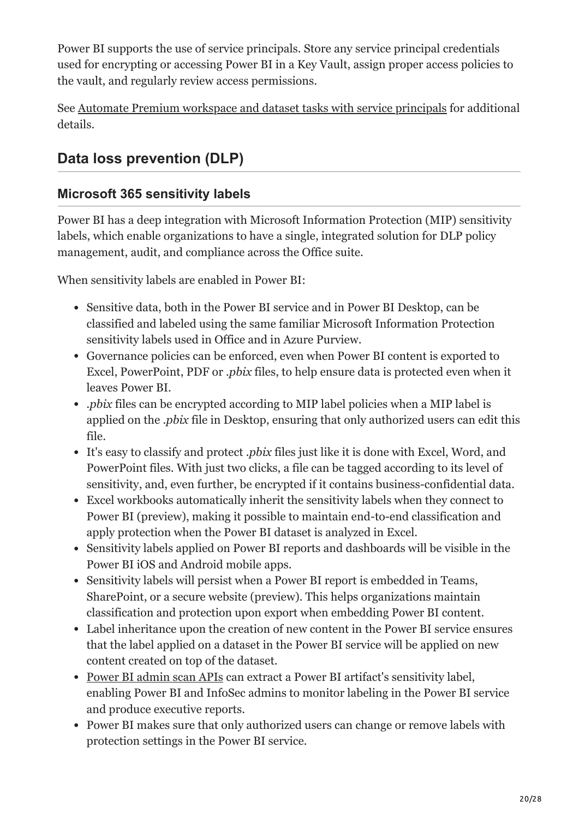Power BI supports the use of service principals. Store any service principal credentials used for encrypting or accessing Power BI in a Key Vault, assign proper access policies to the vault, and regularly review access permissions.

See [Automate Premium workspace and dataset tasks with service principals](https://docs.microsoft.com/en-us/power-bi/enterprise/service-premium-service-principal) for additional details.

# **Data loss prevention (DLP)**

#### **Microsoft 365 sensitivity labels**

Power BI has a deep integration with Microsoft Information Protection (MIP) sensitivity labels, which enable organizations to have a single, integrated solution for DLP policy management, audit, and compliance across the Office suite.

When sensitivity labels are enabled in Power BI:

- Sensitive data, both in the Power BI service and in Power BI Desktop, can be classified and labeled using the same familiar Microsoft Information Protection sensitivity labels used in Office and in Azure Purview.
- Governance policies can be enforced, even when Power BI content is exported to Excel, PowerPoint, PDF or *.pbix* files, to help ensure data is protected even when it leaves Power BI.
- *.pbix* files can be encrypted according to MIP label policies when a MIP label is applied on the *.pbix* file in Desktop, ensuring that only authorized users can edit this file.
- It's easy to classify and protect *.pbix* files just like it is done with Excel, Word, and PowerPoint files. With just two clicks, a file can be tagged according to its level of sensitivity, and, even further, be encrypted if it contains business-confidential data.
- Excel workbooks automatically inherit the sensitivity labels when they connect to Power BI (preview), making it possible to maintain end-to-end classification and apply protection when the Power BI dataset is analyzed in Excel.
- Sensitivity labels applied on Power BI reports and dashboards will be visible in the Power BI iOS and Android mobile apps.
- Sensitivity labels will persist when a Power BI report is embedded in Teams, SharePoint, or a secure website (preview). This helps organizations maintain classification and protection upon export when embedding Power BI content.
- Label inheritance upon the creation of new content in the Power BI service ensures that the label applied on a dataset in the Power BI service will be applied on new content created on top of the dataset.
- [Power BI admin scan APIs](https://docs.microsoft.com/en-us/rest/api/power-bi/admin/workspaceinfo_getscanresult) can extract a Power BI artifact's sensitivity label, enabling Power BI and InfoSec admins to monitor labeling in the Power BI service and produce executive reports.
- Power BI makes sure that only authorized users can change or remove labels with protection settings in the Power BI service.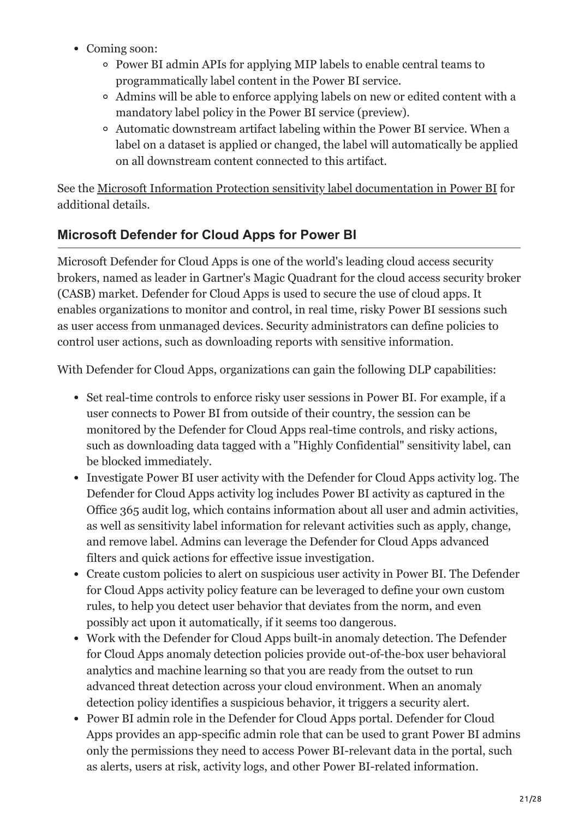- Coming soon:
	- Power BI admin APIs for applying MIP labels to enable central teams to programmatically label content in the Power BI service.
	- Admins will be able to enforce applying labels on new or edited content with a mandatory label policy in the Power BI service (preview).
	- Automatic downstream artifact labeling within the Power BI service. When a label on a dataset is applied or changed, the label will automatically be applied on all downstream content connected to this artifact.

See the [Microsoft Information Protection sensitivity label documentation in Power BI](https://docs.microsoft.com/en-us/power-bi/enterprise/service-security-sensitivity-label-overview) for additional details.

## **Microsoft Defender for Cloud Apps for Power BI**

Microsoft Defender for Cloud Apps is one of the world's leading cloud access security brokers, named as leader in Gartner's Magic Quadrant for the cloud access security broker (CASB) market. Defender for Cloud Apps is used to secure the use of cloud apps. It enables organizations to monitor and control, in real time, risky Power BI sessions such as user access from unmanaged devices. Security administrators can define policies to control user actions, such as downloading reports with sensitive information.

With Defender for Cloud Apps, organizations can gain the following DLP capabilities:

- Set real-time controls to enforce risky user sessions in Power BI. For example, if a user connects to Power BI from outside of their country, the session can be monitored by the Defender for Cloud Apps real-time controls, and risky actions, such as downloading data tagged with a "Highly Confidential" sensitivity label, can be blocked immediately.
- Investigate Power BI user activity with the Defender for Cloud Apps activity log. The Defender for Cloud Apps activity log includes Power BI activity as captured in the Office 365 audit log, which contains information about all user and admin activities, as well as sensitivity label information for relevant activities such as apply, change, and remove label. Admins can leverage the Defender for Cloud Apps advanced filters and quick actions for effective issue investigation.
- Create custom policies to alert on suspicious user activity in Power BI. The Defender for Cloud Apps activity policy feature can be leveraged to define your own custom rules, to help you detect user behavior that deviates from the norm, and even possibly act upon it automatically, if it seems too dangerous.
- Work with the Defender for Cloud Apps built-in anomaly detection. The Defender for Cloud Apps anomaly detection policies provide out-of-the-box user behavioral analytics and machine learning so that you are ready from the outset to run advanced threat detection across your cloud environment. When an anomaly detection policy identifies a suspicious behavior, it triggers a security alert.
- Power BI admin role in the Defender for Cloud Apps portal. Defender for Cloud Apps provides an app-specific admin role that can be used to grant Power BI admins only the permissions they need to access Power BI-relevant data in the portal, such as alerts, users at risk, activity logs, and other Power BI-related information.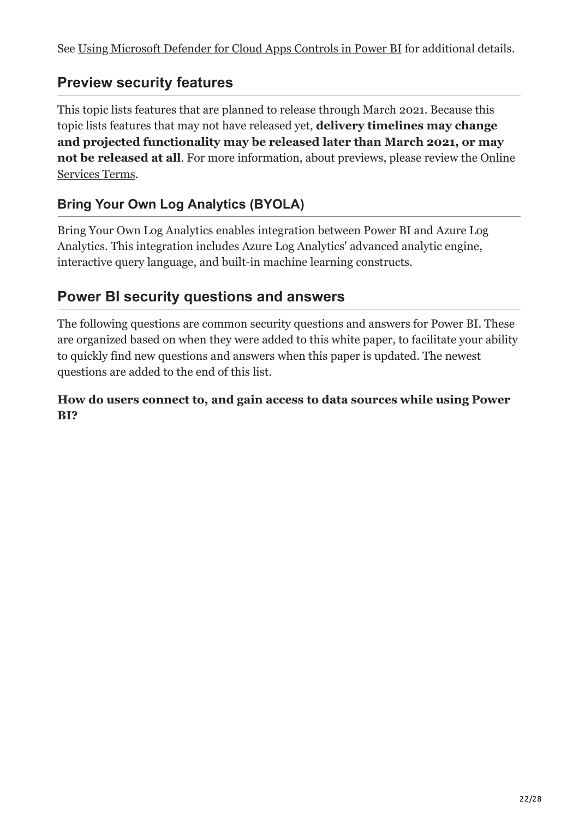# **Preview security features**

This topic lists features that are planned to release through March 2021. Because this topic lists features that may not have released yet, **delivery timelines may change and projected functionality may be released later than March 2021, or may not be released at all.** For more information, about previews, please review the Online Services Terms.

# **Bring Your Own Log Analytics (BYOLA)**

Bring Your Own Log Analytics enables integration between Power BI and Azure Log Analytics. This integration includes Azure Log Analytics' advanced analytic engine, interactive query language, and built-in machine learning constructs.

# **Power BI security questions and answers**

The following questions are common security questions and answers for Power BI. These are organized based on when they were added to this white paper, to facilitate your ability to quickly find new questions and answers when this paper is updated. The newest questions are added to the end of this list.

#### **How do users connect to, and gain access to data sources while using Power BI?**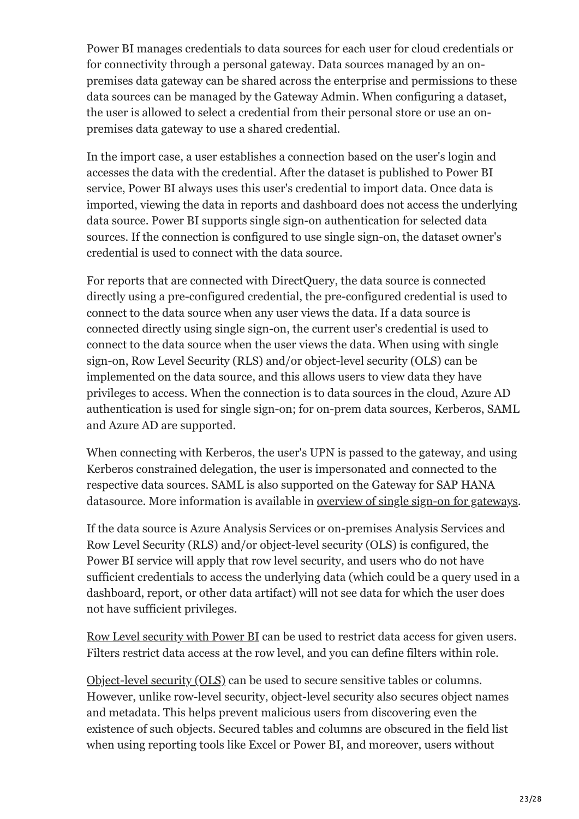Power BI manages credentials to data sources for each user for cloud credentials or for connectivity through a personal gateway. Data sources managed by an onpremises data gateway can be shared across the enterprise and permissions to these data sources can be managed by the Gateway Admin. When configuring a dataset, the user is allowed to select a credential from their personal store or use an onpremises data gateway to use a shared credential.

In the import case, a user establishes a connection based on the user's login and accesses the data with the credential. After the dataset is published to Power BI service, Power BI always uses this user's credential to import data. Once data is imported, viewing the data in reports and dashboard does not access the underlying data source. Power BI supports single sign-on authentication for selected data sources. If the connection is configured to use single sign-on, the dataset owner's credential is used to connect with the data source.

For reports that are connected with DirectQuery, the data source is connected directly using a pre-configured credential, the pre-configured credential is used to connect to the data source when any user views the data. If a data source is connected directly using single sign-on, the current user's credential is used to connect to the data source when the user views the data. When using with single sign-on, Row Level Security (RLS) and/or object-level security (OLS) can be implemented on the data source, and this allows users to view data they have privileges to access. When the connection is to data sources in the cloud, Azure AD authentication is used for single sign-on; for on-prem data sources, Kerberos, SAML and Azure AD are supported.

When connecting with Kerberos, the user's UPN is passed to the gateway, and using Kerberos constrained delegation, the user is impersonated and connected to the respective data sources. SAML is also supported on the Gateway for SAP HANA datasource. More information is available in [overview of single sign-on for gateways.](https://docs.microsoft.com/en-us/power-bi/connect-data/service-gateway-sso-overview)

If the data source is Azure Analysis Services or on-premises Analysis Services and Row Level Security (RLS) and/or object-level security (OLS) is configured, the Power BI service will apply that row level security, and users who do not have sufficient credentials to access the underlying data (which could be a query used in a dashboard, report, or other data artifact) will not see data for which the user does not have sufficient privileges.

[Row Level security with Power BI](https://docs.microsoft.com/en-us/power-bi/enterprise/service-admin-rls) can be used to restrict data access for given users. Filters restrict data access at the row level, and you can define filters within role.

[Object-level security \(OLS\)](https://powerbi.microsoft.com/blog/object-level-security-ols-now-available-for-public-preview-in-power-bi-premium/) can be used to secure sensitive tables or columns. However, unlike row-level security, object-level security also secures object names and metadata. This helps prevent malicious users from discovering even the existence of such objects. Secured tables and columns are obscured in the field list when using reporting tools like Excel or Power BI, and moreover, users without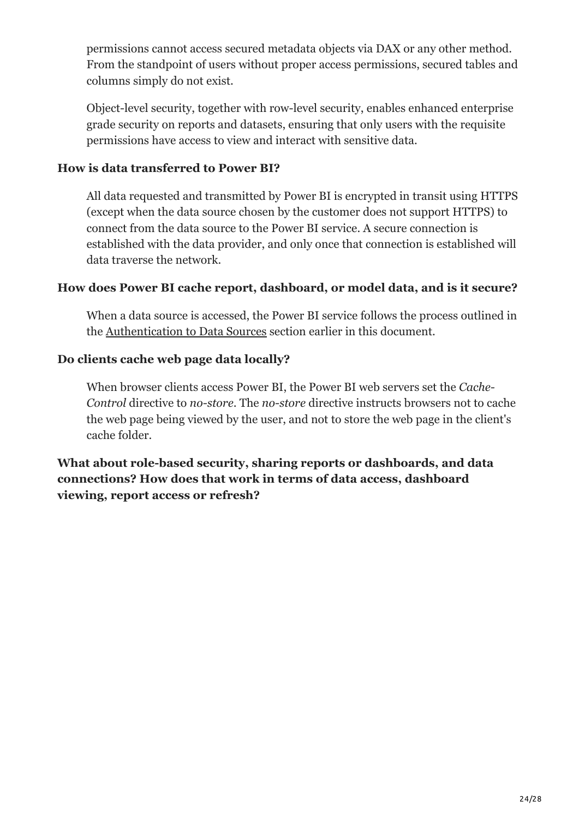permissions cannot access secured metadata objects via DAX or any other method. From the standpoint of users without proper access permissions, secured tables and columns simply do not exist.

Object-level security, together with row-level security, enables enhanced enterprise grade security on reports and datasets, ensuring that only users with the requisite permissions have access to view and interact with sensitive data.

#### **How is data transferred to Power BI?**

All data requested and transmitted by Power BI is encrypted in transit using HTTPS (except when the data source chosen by the customer does not support HTTPS) to connect from the data source to the Power BI service. A secure connection is established with the data provider, and only once that connection is established will data traverse the network.

#### **How does Power BI cache report, dashboard, or model data, and is it secure?**

When a data source is accessed, the Power BI service follows the process outlined in the [Authentication to Data Sources](#page-12-1) section earlier in this document.

#### **Do clients cache web page data locally?**

When browser clients access Power BI, the Power BI web servers set the *Cache-Control* directive to *no-store*. The *no-store* directive instructs browsers not to cache the web page being viewed by the user, and not to store the web page in the client's cache folder.

**What about role-based security, sharing reports or dashboards, and data connections? How does that work in terms of data access, dashboard viewing, report access or refresh?**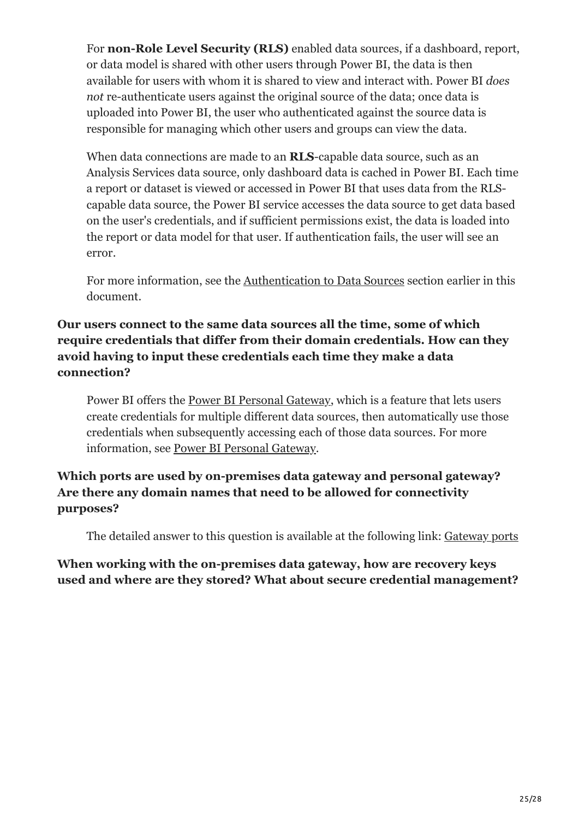For **non-Role Level Security (RLS)** enabled data sources, if a dashboard, report, or data model is shared with other users through Power BI, the data is then available for users with whom it is shared to view and interact with. Power BI *does not* re-authenticate users against the original source of the data; once data is uploaded into Power BI, the user who authenticated against the source data is responsible for managing which other users and groups can view the data.

When data connections are made to an **RLS**-capable data source, such as an Analysis Services data source, only dashboard data is cached in Power BI. Each time a report or dataset is viewed or accessed in Power BI that uses data from the RLScapable data source, the Power BI service accesses the data source to get data based on the user's credentials, and if sufficient permissions exist, the data is loaded into the report or data model for that user. If authentication fails, the user will see an error.

For more information, see the [Authentication to Data Sources](#page-12-1) section earlier in this document.

#### **Our users connect to the same data sources all the time, some of which require credentials that differ from their domain credentials. How can they avoid having to input these credentials each time they make a data connection?**

Power BI offers the [Power BI Personal Gateway](https://docs.microsoft.com/en-us/power-bi/connect-data/service-gateway-personal-mode), which is a feature that lets users create credentials for multiple different data sources, then automatically use those credentials when subsequently accessing each of those data sources. For more information, see [Power BI Personal Gateway.](https://docs.microsoft.com/en-us/power-bi/connect-data/service-gateway-personal-mode)

#### **Which ports are used by on-premises data gateway and personal gateway? Are there any domain names that need to be allowed for connectivity purposes?**

The detailed answer to this question is available at the following link: [Gateway ports](https://docs.microsoft.com/en-us/data-integration/gateway/service-gateway-communication#ports)

**When working with the on-premises data gateway, how are recovery keys used and where are they stored? What about secure credential management?**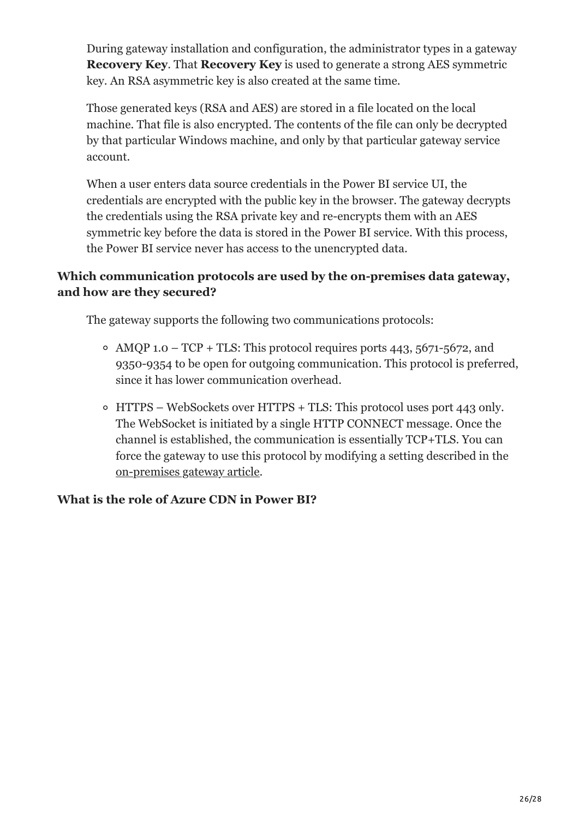During gateway installation and configuration, the administrator types in a gateway **Recovery Key**. That **Recovery Key** is used to generate a strong AES symmetric key. An RSA asymmetric key is also created at the same time.

Those generated keys (RSA and AES) are stored in a file located on the local machine. That file is also encrypted. The contents of the file can only be decrypted by that particular Windows machine, and only by that particular gateway service account.

When a user enters data source credentials in the Power BI service UI, the credentials are encrypted with the public key in the browser. The gateway decrypts the credentials using the RSA private key and re-encrypts them with an AES symmetric key before the data is stored in the Power BI service. With this process, the Power BI service never has access to the unencrypted data.

#### **Which communication protocols are used by the on-premises data gateway, and how are they secured?**

The gateway supports the following two communications protocols:

- $\circ$  AMOP 1.0 TCP + TLS: This protocol requires ports 443, 5671-5672, and 9350-9354 to be open for outgoing communication. This protocol is preferred, since it has lower communication overhead.
- HTTPS WebSockets over HTTPS + TLS: This protocol uses port 443 only. The WebSocket is initiated by a single HTTP CONNECT message. Once the channel is established, the communication is essentially TCP+TLS. You can force the gateway to use this protocol by modifying a setting described in the [on-premises gateway article.](https://docs.microsoft.com/en-us/data-integration/gateway/service-gateway-communication#force-https-communication-with-azure-service-bus)

#### **What is the role of Azure CDN in Power BI?**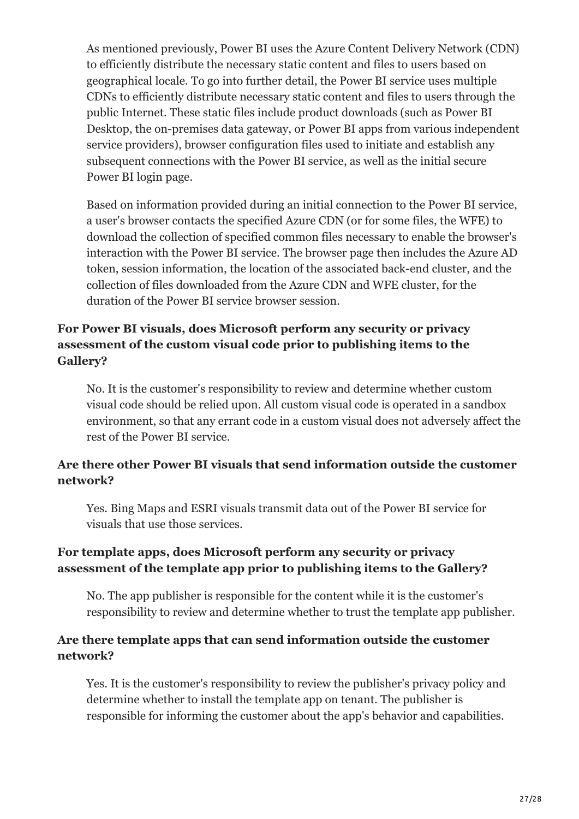As mentioned previously, Power BI uses the Azure Content Delivery Network (CDN) to efficiently distribute the necessary static content and files to users based on geographical locale. To go into further detail, the Power BI service uses multiple CDNs to efficiently distribute necessary static content and files to users through the public Internet. These static files include product downloads (such as Power BI Desktop, the on-premises data gateway, or Power BI apps from various independent service providers), browser configuration files used to initiate and establish any subsequent connections with the Power BI service, as well as the initial secure Power BI login page.

Based on information provided during an initial connection to the Power BI service, a user's browser contacts the specified Azure CDN (or for some files, the WFE) to download the collection of specified common files necessary to enable the browser's interaction with the Power BI service. The browser page then includes the Azure AD token, session information, the location of the associated back-end cluster, and the collection of files downloaded from the Azure CDN and WFE cluster, for the duration of the Power BI service browser session.

#### **For Power BI visuals, does Microsoft perform any security or privacy assessment of the custom visual code prior to publishing items to the Gallery?**

No. It is the customer's responsibility to review and determine whether custom visual code should be relied upon. All custom visual code is operated in a sandbox environment, so that any errant code in a custom visual does not adversely affect the rest of the Power BI service.

#### **Are there other Power BI visuals that send information outside the customer network?**

Yes. Bing Maps and ESRI visuals transmit data out of the Power BI service for visuals that use those services.

#### **For template apps, does Microsoft perform any security or privacy assessment of the template app prior to publishing items to the Gallery?**

No. The app publisher is responsible for the content while it is the customer's responsibility to review and determine whether to trust the template app publisher.

#### **Are there template apps that can send information outside the customer network?**

Yes. It is the customer's responsibility to review the publisher's privacy policy and determine whether to install the template app on tenant. The publisher is responsible for informing the customer about the app's behavior and capabilities.